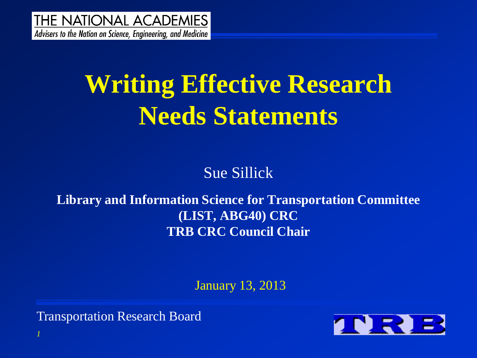**THE NATIONAL ACADEMIES** Advisers to the Nation on Science, Engineering, and Medicine

## **Writing Effective Research Needs Statements**

Sue Sillick

**Library and Information Science for Transportation Committee (LIST, ABG40) CRC TRB CRC Council Chair**

January 13, 2013

Transportation Research Board

*1*

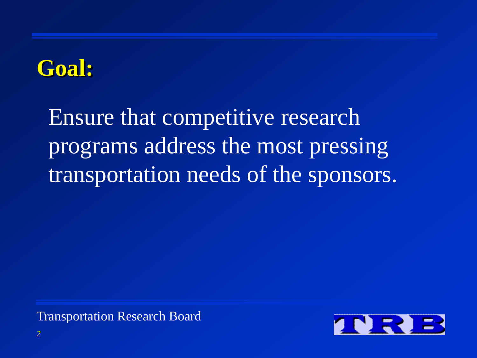#### **Goal:**

Ensure that competitive research programs address the most pressing transportation needs of the sponsors.

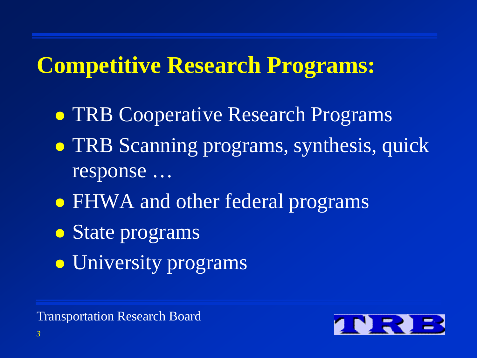#### **Competitive Research Programs:**

- TRB Cooperative Research Programs
- **TRB Scanning programs, synthesis, quick** response …
- FHWA and other federal programs
- State programs
- University programs

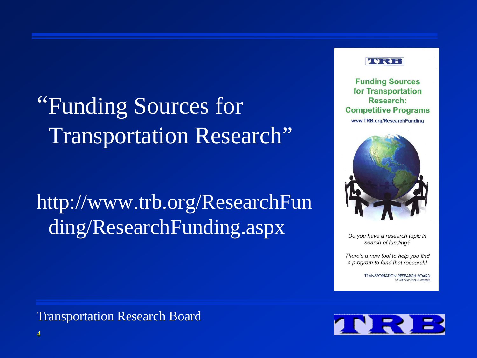## "Funding Sources for Transportation Research"

http://www.trb.org/ResearchFun ding/ResearchFunding.aspx



**Funding Sources** for Transportation **Research: Competitive Programs** www.TRB.org/ResearchFunding



Do you have a research topic in search of funding?

There's a new tool to help you find a program to fund that research!

> **TRANSPORTATION RESEARCH BOARD** OF THE NATIONAL ACADEMIES

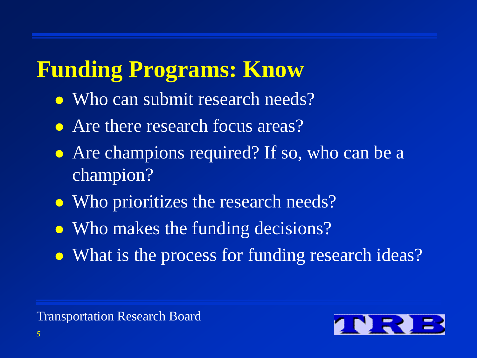#### **Funding Programs: Know**

- Who can submit research needs?
- Are there research focus areas?
- Are champions required? If so, who can be a champion?
- Who prioritizes the research needs?
- Who makes the funding decisions?
- What is the process for funding research ideas?

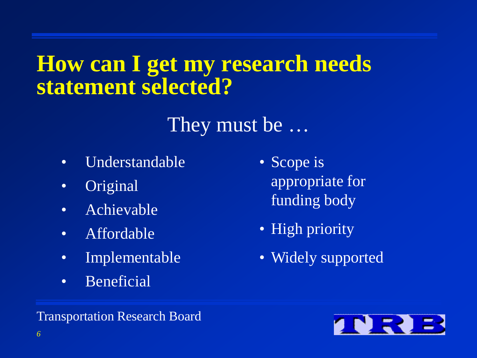#### **How can I get my research needs statement selected?**

#### They must be …

- Understandable
- Original
- Achievable
- Affordable
- Implementable
- Beneficial
- Scope is appropriate for funding body
- High priority
- Widely supported

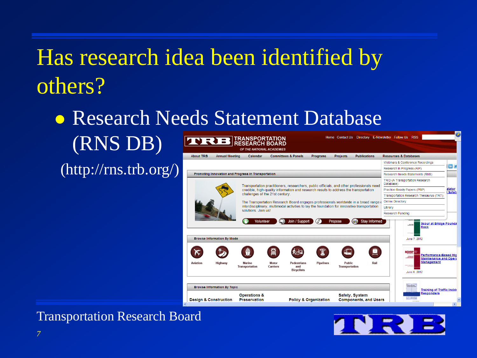• Research Needs Statement Database

(RNS DB)

(http://rns.trb.org/)



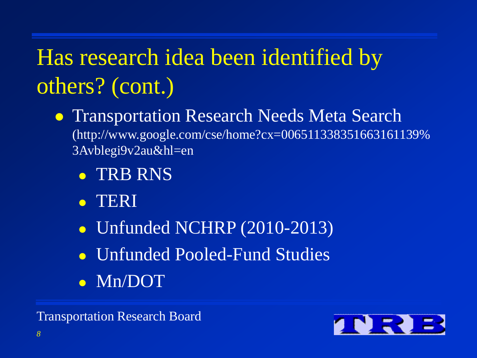- **Transportation Research Needs Meta Search** (http://www.google.com/cse/home?cx=006511338351663161139% 3Avblegi9v2au&hl=en
	- TRB RNS
	- TERI
	- Unfunded NCHRP (2010-2013)
	- Unfunded Pooled-Fund Studies
	- **Mn/DOT**

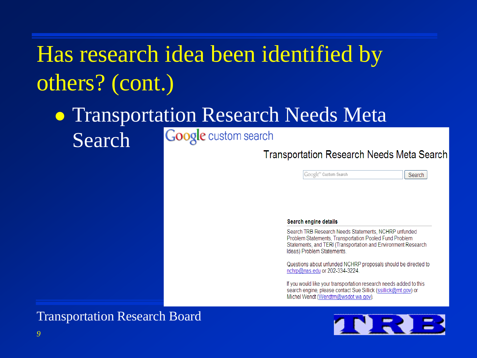#### **• Transportation Research Needs Meta** Google custom search Search

#### **Transportation Research Needs Meta Search**

Google<sup>m</sup> Custom Search

Search

#### Search engine details

Search TRB Research Needs Statements, NCHRP unfunded Problem Statements, Transportation Pooled Fund Problem Statements, and TERI (Transportation and Environment Research Ideas) Problem Statements.

Questions about unfunded NCHRP proposals should be directed to nchrp@nas.edu or 202-334-3224

If you would like your transportation research needs added to this search engine, please contact Sue Sillick (ssillick@mt.gov) or Michel Wendt (Wendtm@wsdot.wa.gov).



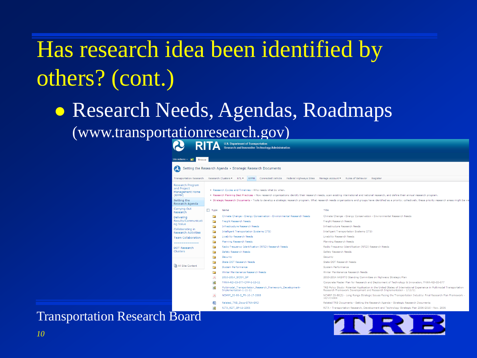• Research Needs, Agendas, Roadmaps (www.transportationresearch.gov)

| Site Actions ▼ 一部<br><b>Browse</b>                                                                     |                                                                                                                                                                                                                                                                                                                                                                                                                                           |
|--------------------------------------------------------------------------------------------------------|-------------------------------------------------------------------------------------------------------------------------------------------------------------------------------------------------------------------------------------------------------------------------------------------------------------------------------------------------------------------------------------------------------------------------------------------|
| $\boldsymbol{\alpha}$                                                                                  | Setting the Research Agenda > Strategic Research Documents                                                                                                                                                                                                                                                                                                                                                                                |
| <b>Transportation Research</b>                                                                         | Research Clusters * NTL *<br>RPPM<br>Connected Vehicle<br>Federal Highways Sites Manage Account * Rules of Behavior<br>Register                                                                                                                                                                                                                                                                                                           |
| Research Program<br>and Project<br>Management Home<br>(RPPM)                                           | . Research Cycles and Timelines - Who needs what by when.<br>. Research Planning Best Practices - How research organizations identify their research needs, scan existing international and national research, and define their annual research program.                                                                                                                                                                                  |
| Setting the<br>Research Agenda                                                                         | . Strategic Research Documents - Tools to develop a strategic research program. What research needs organizations and groups have identified as a priority; collectively, these priority research areas might be vie                                                                                                                                                                                                                      |
| Carrying Out<br>Research                                                                               | $\Box$ Type<br>Title<br>Name                                                                                                                                                                                                                                                                                                                                                                                                              |
| <b>Delivering</b><br>Results/Communicati<br>ng Value<br>Collaborating in<br><b>Research Activities</b> | Climate Change - Energy Conservation - Environmental Research Needs<br>Climate Change - Energy Conservation - Environmental Research Needs<br>n.<br>Freight Research Needs<br>Freight Research Needs<br>n.<br>Infrastructure Research Needs<br>Infrastructure Research Needs<br>n<br>Intelligent Transportation Systems (ITS)<br>Intelligent Transportation Systems (ITS)<br>n.<br>Livability Research Needs<br>Livability Research Needs |
| <b>Team Collaboration</b><br>-------------                                                             | $\overline{\phantom{a}}$<br>Planning Research Needs<br>Planning Research Needs<br>n.                                                                                                                                                                                                                                                                                                                                                      |
| <b>DOT Research</b><br>Clusters                                                                        | Radio Frequency Identification (RFID) Research Needs<br>Radio Frequency Identification (RFID) Research Needs<br>n<br>Safety Research Needs<br>Safety Research Needs<br>n                                                                                                                                                                                                                                                                  |
|                                                                                                        | Security<br>Security<br>State DOT Research Needs<br>State DOT Research Needs                                                                                                                                                                                                                                                                                                                                                              |
| All Site Content                                                                                       | System Performance<br>System Performance<br>È                                                                                                                                                                                                                                                                                                                                                                                             |
|                                                                                                        | Winter Maintenance Research Needs<br>Winter Maintenance Research Needs<br>D<br>2010-2014 AASHTO Standing Committee on Highways Strategic Plan<br>2010-2014 SCOH SP                                                                                                                                                                                                                                                                        |
|                                                                                                        | $\alpha$<br>FHWA-RD-03-077-CMP-1-13-11<br>Corporate Master Plan for Research and Deployment of Technology & Innovation, FHWA-RD-03-077                                                                                                                                                                                                                                                                                                    |
|                                                                                                        | œ<br>TRB Policy Study: Potential Application in the United States of International Experience in Multimodal Transportation<br>Multimodal_Transportation_Research_Framework_Development-<br>Research Framework Development and Research Implementation - 1/11/11<br>Implementation-1-11-11                                                                                                                                                 |
|                                                                                                        | NCHRP 20-80-2 FR-10-17-2008<br>NCHRP 20-80(2) - Long Range Strategic Issues Facing the Transportation Industry: Final Research Plan Framework -<br>10/17/2008                                                                                                                                                                                                                                                                             |
|                                                                                                        | 國<br>Related TRB Documents - Setting the Research Agenda - Strategic Research Documents<br>Related TRB Docs-STRA-SRD<br>RITA - Transportation Research, Development and Technology Strategic Plan 2006-2010 - Nov. 2006<br>RITA_RDT_SP-11-2006                                                                                                                                                                                            |

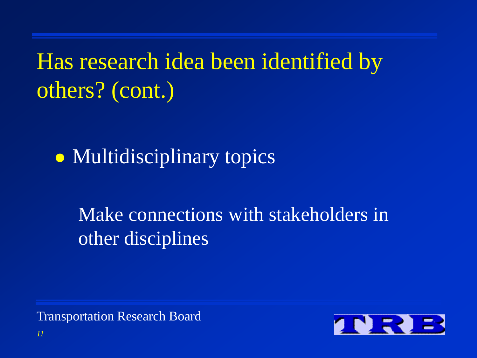• Multidisciplinary topics

Make connections with stakeholders in other disciplines

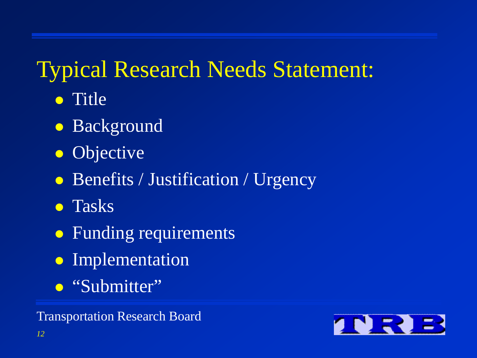#### Typical Research Needs Statement:

- **•** Title
- Background
- Objective
- Benefits / Justification / Urgency
- Tasks
- Funding requirements
- **•** Implementation
- "Submitter"

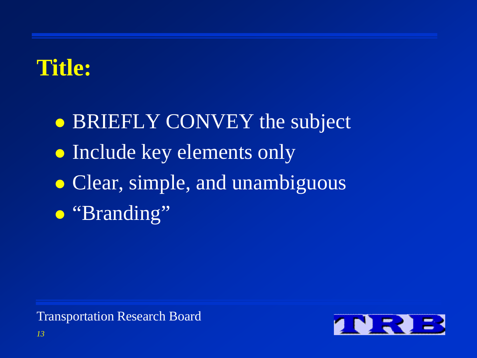#### **Title:**

• BRIEFLY CONVEY the subject • Include key elements only • Clear, simple, and unambiguous • "Branding"

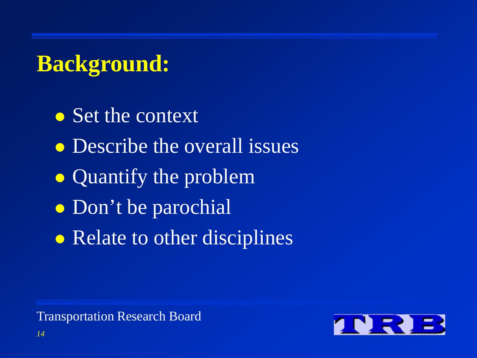#### **Background:**

• Set the context

- Describe the overall issues
- Quantify the problem
- Don't be parochial
- Relate to other disciplines

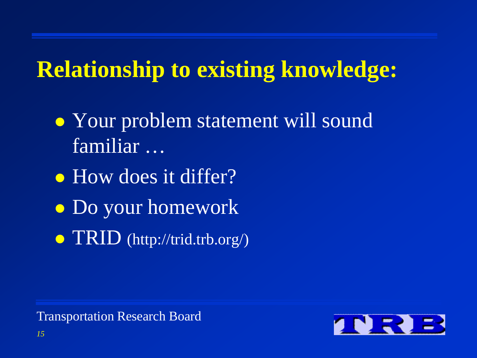- Your problem statement will sound familiar …
- How does it differ?
- Do your homework
- $\bullet$  TRID (http://trid.trb.org/)

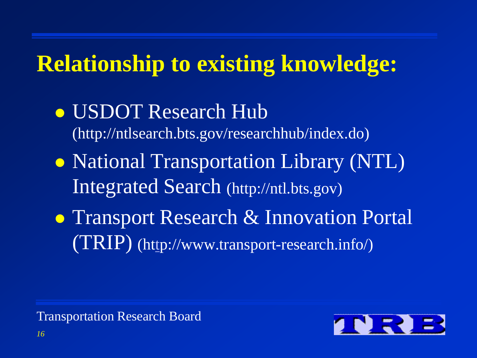USDOT Research Hub (http://ntlsearch.bts.gov/researchhub/index.do) • National Transportation Library (NTL) Integrated Search (http://ntl.bts.gov) • Transport Research & Innovation Portal (TRIP) (h[tt](http://www.transport-research.info/)p://www.transport-research.info/)

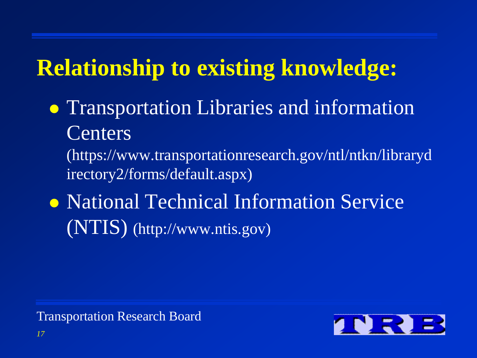Transportation Libraries and information **Centers** 

(https://www.transportationresearch.gov/ntl/ntkn/libraryd irectory2/forms/default.aspx)

• National Technical Information Service (NTIS) (http://www.ntis.gov)

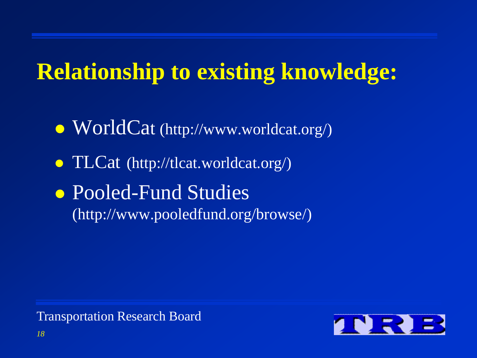• WorldCat (http://www.worldcat.org/)

• TLCat (http://tlcat.worldcat.org/)

• Pooled-Fund Studies (http://www.pooledfund.org/browse/)

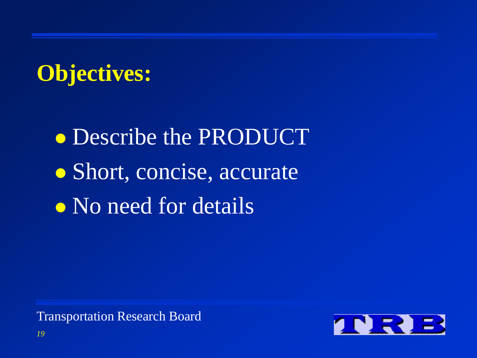#### **Objectives:**

**• Describe the PRODUCT** • Short, concise, accurate • No need for details

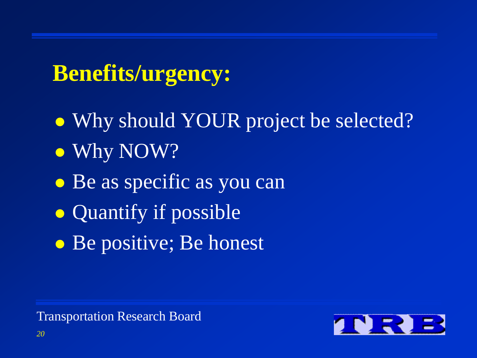#### **Benefits/urgency:**

- Why should YOUR project be selected?
- Why NOW?
- Be as specific as you can
- Quantify if possible
- Be positive; Be honest

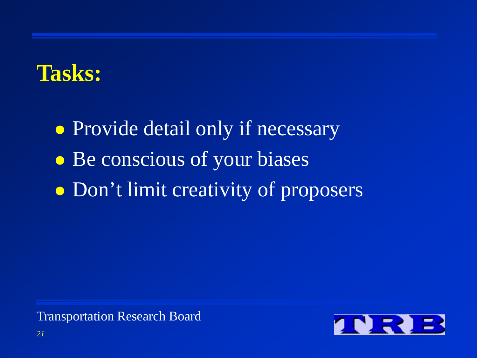#### **Tasks:**

• Provide detail only if necessary • Be conscious of your biases • Don't limit creativity of proposers

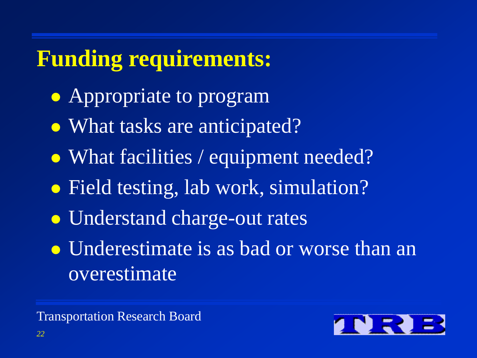#### **Funding requirements:**

- Appropriate to program
- What tasks are anticipated?
- What facilities / equipment needed?
- Field testing, lab work, simulation?
- Understand charge-out rates
- Underestimate is as bad or worse than an overestimate

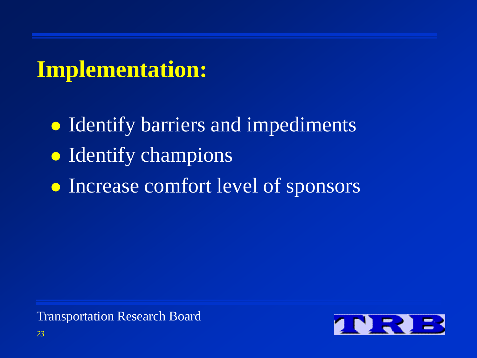#### **Implementation:**

- Identify barriers and impediments
- Identify champions
- Increase comfort level of sponsors

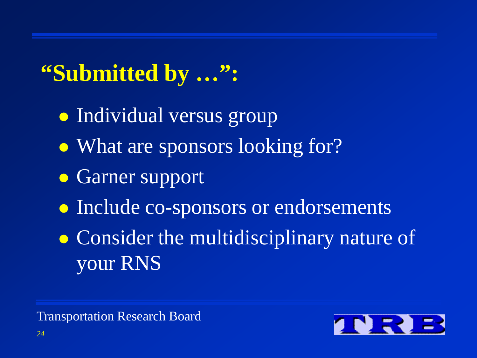#### **"Submitted by …":**

- Individual versus group
- What are sponsors looking for?
- **Garner support**
- **Include co-sponsors or endorsements**
- Consider the multidisciplinary nature of your RNS

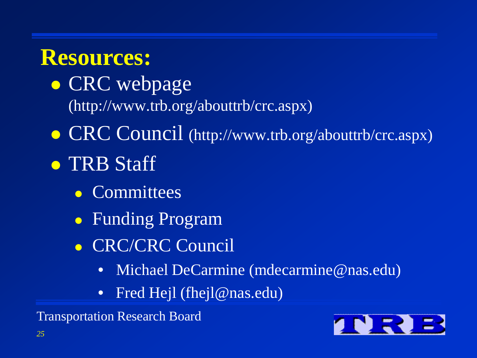#### **Resources:**

- CRC webpage (http://www.trb.org/abouttrb/crc.aspx)
- CRC Council (http://www.trb.org/abouttrb/crc.aspx)
- TRB Staff
	- Committees
	- Funding Program
	- **CRC/CRC Council** 
		- Michael DeCarmine (mdecarmine@nas.edu)
		- Fred Hejl (fhejl@nas.edu)

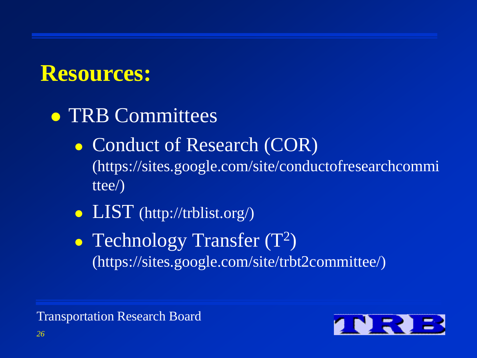#### **Resources:**

- TRB Committees
	- Conduct of Research (COR) (https://sites.google.com/site/conductofresearchcommi ttee/)
	- LIST (http://trblist.org/)
	- Technology Transfer  $(T^2)$ (https://sites.google.com/site/trbt2committee/)

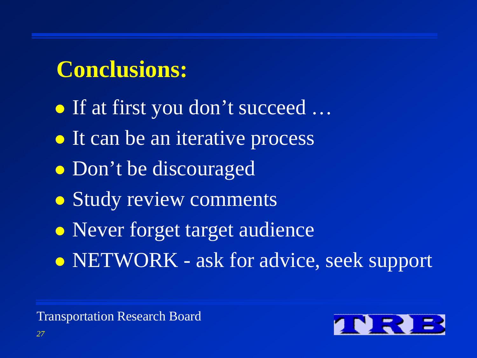#### **Conclusions:**

 If at first you don't succeed … • It can be an iterative process Don't be discouraged • Study review comments • Never forget target audience • NETWORK - ask for advice, seek support